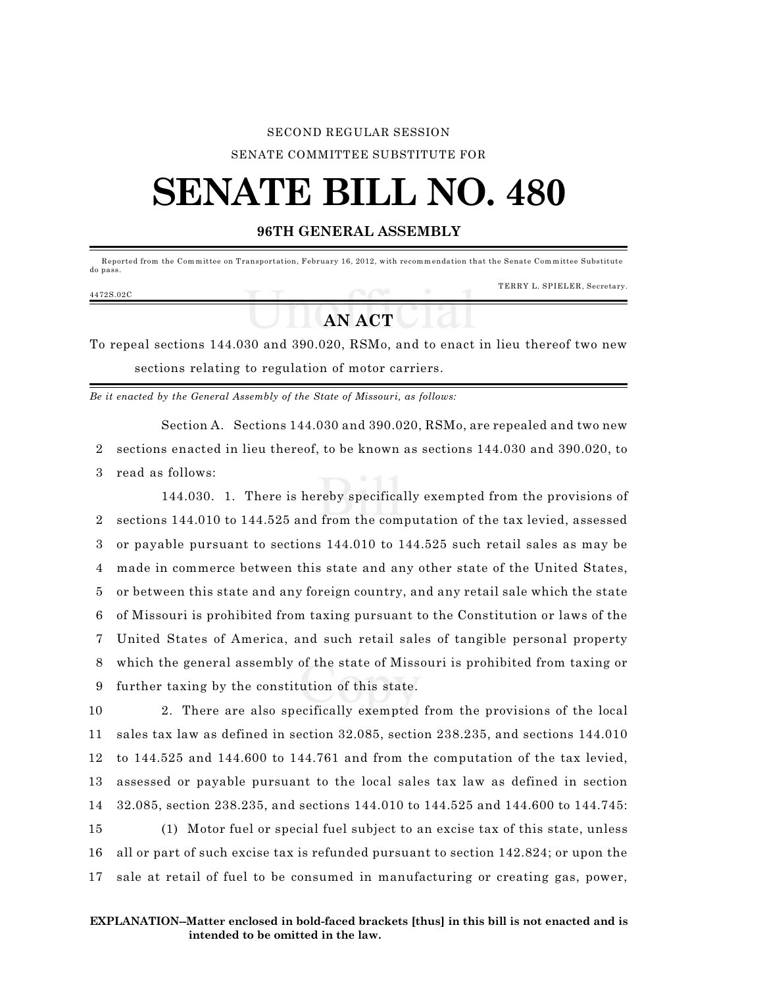## SECOND REGULAR SESSION SENATE COMMITTEE SUBSTITUTE FOR

## **SENATE BILL NO. 480**

## **96TH GENERAL ASSEMBLY**

Reported from the Committee on Transportation, February 16, 2012, with recommendation that the Senate Committee Substitute do pass. TERRY L. SPIELER, Secretary. 4472S.02C

## **AN ACT**

To repeal sections 144.030 and 390.020, RSMo, and to enact in lieu thereof two new sections relating to regulation of motor carriers.

*Be it enacted by the General Assembly of the State of Missouri, as follows:*

Section A. Sections 144.030 and 390.020, RSMo, are repealed and two new 2 sections enacted in lieu thereof, to be known as sections 144.030 and 390.020, to 3 read as follows:

144.030. 1. There is hereby specifically exempted from the provisions of sections 144.010 to 144.525 and from the computation of the tax levied, assessed or payable pursuant to sections 144.010 to 144.525 such retail sales as may be made in commerce between this state and any other state of the United States, or between this state and any foreign country, and any retail sale which the state of Missouri is prohibited from taxing pursuant to the Constitution or laws of the United States of America, and such retail sales of tangible personal property which the general assembly of the state of Missouri is prohibited from taxing or further taxing by the constitution of this state.

 2. There are also specifically exempted from the provisions of the local sales tax law as defined in section 32.085, section 238.235, and sections 144.010 to 144.525 and 144.600 to 144.761 and from the computation of the tax levied, assessed or payable pursuant to the local sales tax law as defined in section 32.085, section 238.235, and sections 144.010 to 144.525 and 144.600 to 144.745: (1) Motor fuel or special fuel subject to an excise tax of this state, unless all or part of such excise tax is refunded pursuant to section 142.824; or upon the

17 sale at retail of fuel to be consumed in manufacturing or creating gas, power,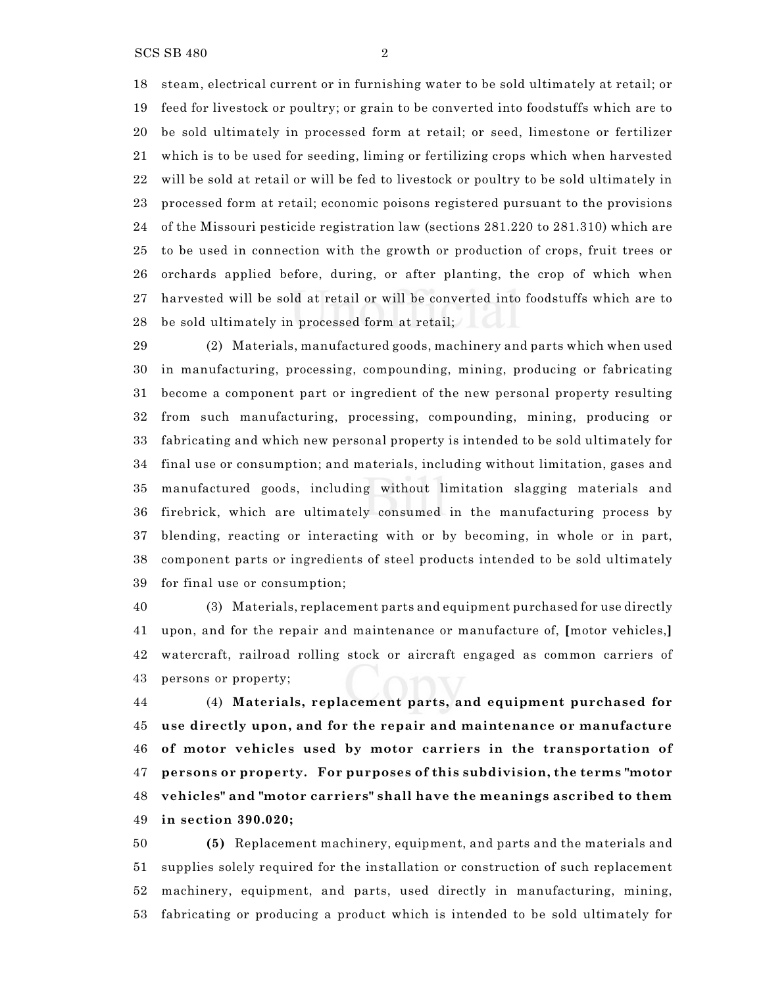steam, electrical current or in furnishing water to be sold ultimately at retail; or feed for livestock or poultry; or grain to be converted into foodstuffs which are to be sold ultimately in processed form at retail; or seed, limestone or fertilizer which is to be used for seeding, liming or fertilizing crops which when harvested will be sold at retail or will be fed to livestock or poultry to be sold ultimately in processed form at retail; economic poisons registered pursuant to the provisions of the Missouri pesticide registration law (sections 281.220 to 281.310) which are to be used in connection with the growth or production of crops, fruit trees or orchards applied before, during, or after planting, the crop of which when harvested will be sold at retail or will be converted into foodstuffs which are to be sold ultimately in processed form at retail;

 (2) Materials, manufactured goods, machinery and parts which when used in manufacturing, processing, compounding, mining, producing or fabricating become a component part or ingredient of the new personal property resulting from such manufacturing, processing, compounding, mining, producing or fabricating and which new personal property is intended to be sold ultimately for final use or consumption; and materials, including without limitation, gases and manufactured goods, including without limitation slagging materials and firebrick, which are ultimately consumed in the manufacturing process by blending, reacting or interacting with or by becoming, in whole or in part, component parts or ingredients of steel products intended to be sold ultimately for final use or consumption;

 (3) Materials, replacement parts and equipment purchased for use directly upon, and for the repair and maintenance or manufacture of, **[**motor vehicles,**]** watercraft, railroad rolling stock or aircraft engaged as common carriers of persons or property;

 (4) **Materials, replacement parts, and equipment purchased for use directly upon, and for the repair and maintenance or manufacture of motor vehicles used by motor carriers in the transportation of persons or property. For purposes of this subdivision, the terms "motor vehicles" and "motor carriers" shall have the meanings ascribed to them in section 390.020;**

 **(5)** Replacement machinery, equipment, and parts and the materials and supplies solely required for the installation or construction of such replacement machinery, equipment, and parts, used directly in manufacturing, mining, fabricating or producing a product which is intended to be sold ultimately for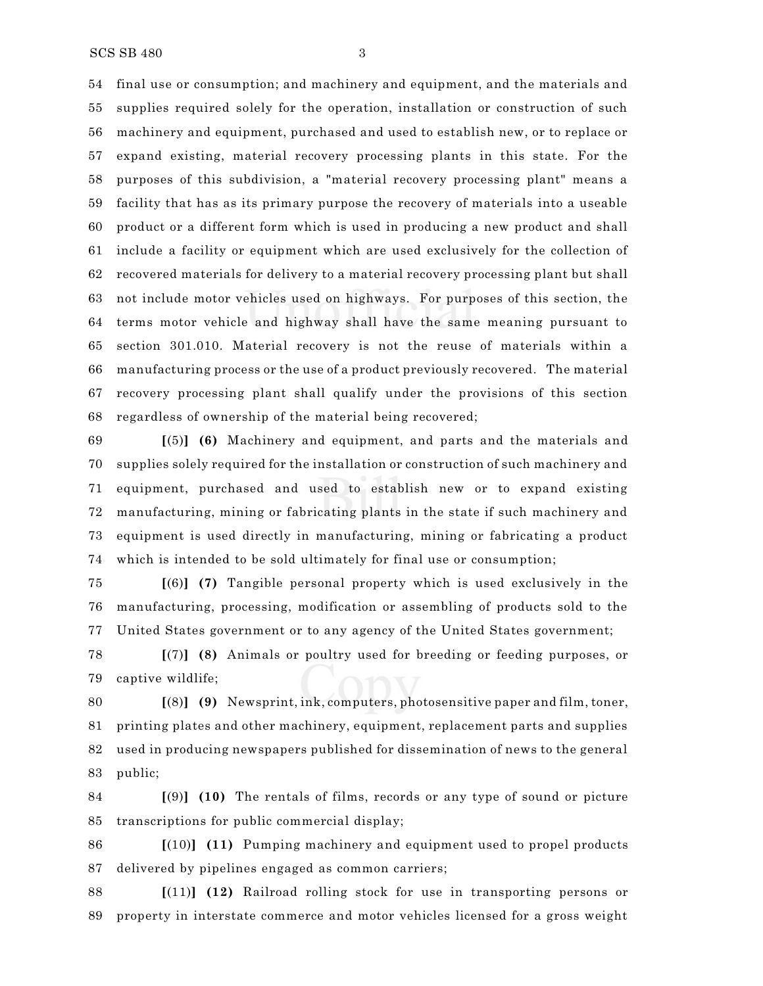final use or consumption; and machinery and equipment, and the materials and supplies required solely for the operation, installation or construction of such machinery and equipment, purchased and used to establish new, or to replace or expand existing, material recovery processing plants in this state. For the purposes of this subdivision, a "material recovery processing plant" means a facility that has as its primary purpose the recovery of materials into a useable product or a different form which is used in producing a new product and shall include a facility or equipment which are used exclusively for the collection of recovered materials for delivery to a material recovery processing plant but shall not include motor vehicles used on highways. For purposes of this section, the terms motor vehicle and highway shall have the same meaning pursuant to section 301.010. Material recovery is not the reuse of materials within a manufacturing process or the use of a product previously recovered. The material recovery processing plant shall qualify under the provisions of this section regardless of ownership of the material being recovered;

 **[**(5)**] (6)** Machinery and equipment, and parts and the materials and supplies solely required for the installation or construction of such machinery and equipment, purchased and used to establish new or to expand existing manufacturing, mining or fabricating plants in the state if such machinery and equipment is used directly in manufacturing, mining or fabricating a product which is intended to be sold ultimately for final use or consumption;

 **[**(6)**] (7)** Tangible personal property which is used exclusively in the manufacturing, processing, modification or assembling of products sold to the United States government or to any agency of the United States government;

 **[**(7)**] (8)** Animals or poultry used for breeding or feeding purposes, or captive wildlife;

 **[**(8)**] (9)** Newsprint, ink, computers, photosensitive paper and film, toner, printing plates and other machinery, equipment, replacement parts and supplies used in producing newspapers published for dissemination of news to the general public;

 **[**(9)**] (10)** The rentals of films, records or any type of sound or picture transcriptions for public commercial display;

 **[**(10)**] (11)** Pumping machinery and equipment used to propel products delivered by pipelines engaged as common carriers;

 **[**(11)**] (12)** Railroad rolling stock for use in transporting persons or property in interstate commerce and motor vehicles licensed for a gross weight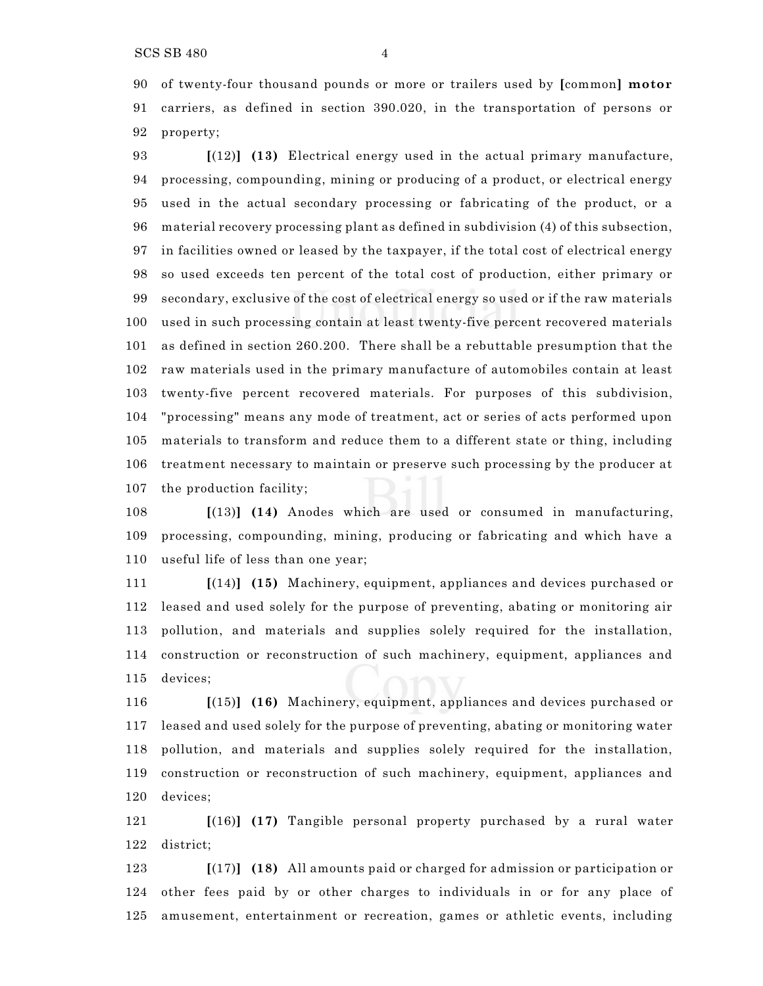SCS SB 480 4

 of twenty-four thousand pounds or more or trailers used by **[**common**] motor** carriers, as defined in section 390.020, in the transportation of persons or property;

 **[**(12)**] (13)** Electrical energy used in the actual primary manufacture, processing, compounding, mining or producing of a product, or electrical energy used in the actual secondary processing or fabricating of the product, or a material recovery processing plant as defined in subdivision (4) of this subsection, in facilities owned or leased by the taxpayer, if the total cost of electrical energy so used exceeds ten percent of the total cost of production, either primary or secondary, exclusive of the cost of electrical energy so used or if the raw materials used in such processing contain at least twenty-five percent recovered materials as defined in section 260.200. There shall be a rebuttable presumption that the raw materials used in the primary manufacture of automobiles contain at least twenty-five percent recovered materials. For purposes of this subdivision, "processing" means any mode of treatment, act or series of acts performed upon materials to transform and reduce them to a different state or thing, including treatment necessary to maintain or preserve such processing by the producer at the production facility;

 **[**(13)**] (14)** Anodes which are used or consumed in manufacturing, processing, compounding, mining, producing or fabricating and which have a useful life of less than one year;

 **[**(14)**] (15)** Machinery, equipment, appliances and devices purchased or leased and used solely for the purpose of preventing, abating or monitoring air pollution, and materials and supplies solely required for the installation, construction or reconstruction of such machinery, equipment, appliances and devices;

 **[**(15)**] (16)** Machinery, equipment, appliances and devices purchased or leased and used solely for the purpose of preventing, abating or monitoring water pollution, and materials and supplies solely required for the installation, construction or reconstruction of such machinery, equipment, appliances and devices;

 **[**(16)**] (17)** Tangible personal property purchased by a rural water district;

 **[**(17)**] (18)** All amounts paid or charged for admission or participation or other fees paid by or other charges to individuals in or for any place of amusement, entertainment or recreation, games or athletic events, including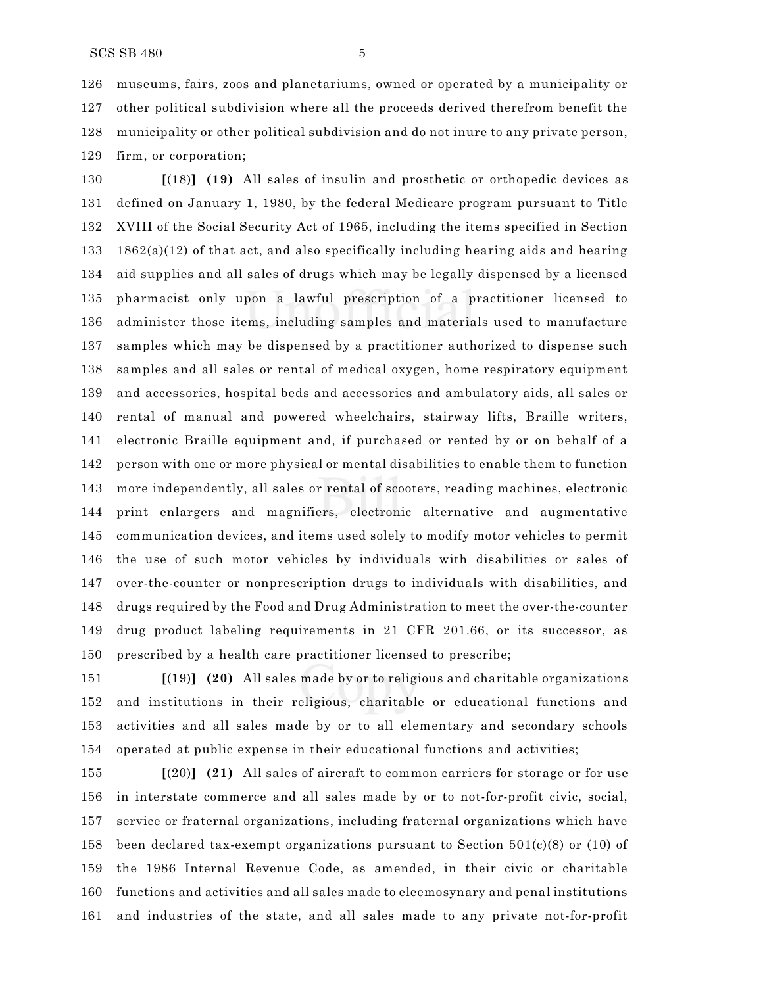museums, fairs, zoos and planetariums, owned or operated by a municipality or other political subdivision where all the proceeds derived therefrom benefit the municipality or other political subdivision and do not inure to any private person, firm, or corporation;

 **[**(18)**] (19)** All sales of insulin and prosthetic or orthopedic devices as defined on January 1, 1980, by the federal Medicare program pursuant to Title XVIII of the Social Security Act of 1965, including the items specified in Section 133 1862(a)(12) of that act, and also specifically including hearing aids and hearing aid supplies and all sales of drugs which may be legally dispensed by a licensed pharmacist only upon a lawful prescription of a practitioner licensed to administer those items, including samples and materials used to manufacture samples which may be dispensed by a practitioner authorized to dispense such samples and all sales or rental of medical oxygen, home respiratory equipment and accessories, hospital beds and accessories and ambulatory aids, all sales or rental of manual and powered wheelchairs, stairway lifts, Braille writers, electronic Braille equipment and, if purchased or rented by or on behalf of a person with one or more physical or mental disabilities to enable them to function more independently, all sales or rental of scooters, reading machines, electronic print enlargers and magnifiers, electronic alternative and augmentative communication devices, and items used solely to modify motor vehicles to permit the use of such motor vehicles by individuals with disabilities or sales of over-the-counter or nonprescription drugs to individuals with disabilities, and drugs required by the Food and Drug Administration to meet the over-the-counter drug product labeling requirements in 21 CFR 201.66, or its successor, as prescribed by a health care practitioner licensed to prescribe;

 **[**(19)**] (20)** All sales made by or to religious and charitable organizations and institutions in their religious, charitable or educational functions and activities and all sales made by or to all elementary and secondary schools operated at public expense in their educational functions and activities;

 **[**(20)**] (21)** All sales of aircraft to common carriers for storage or for use in interstate commerce and all sales made by or to not-for-profit civic, social, service or fraternal organizations, including fraternal organizations which have 158 been declared tax-exempt organizations pursuant to Section  $501(c)(8)$  or (10) of the 1986 Internal Revenue Code, as amended, in their civic or charitable functions and activities and all sales made to eleemosynary and penal institutions and industries of the state, and all sales made to any private not-for-profit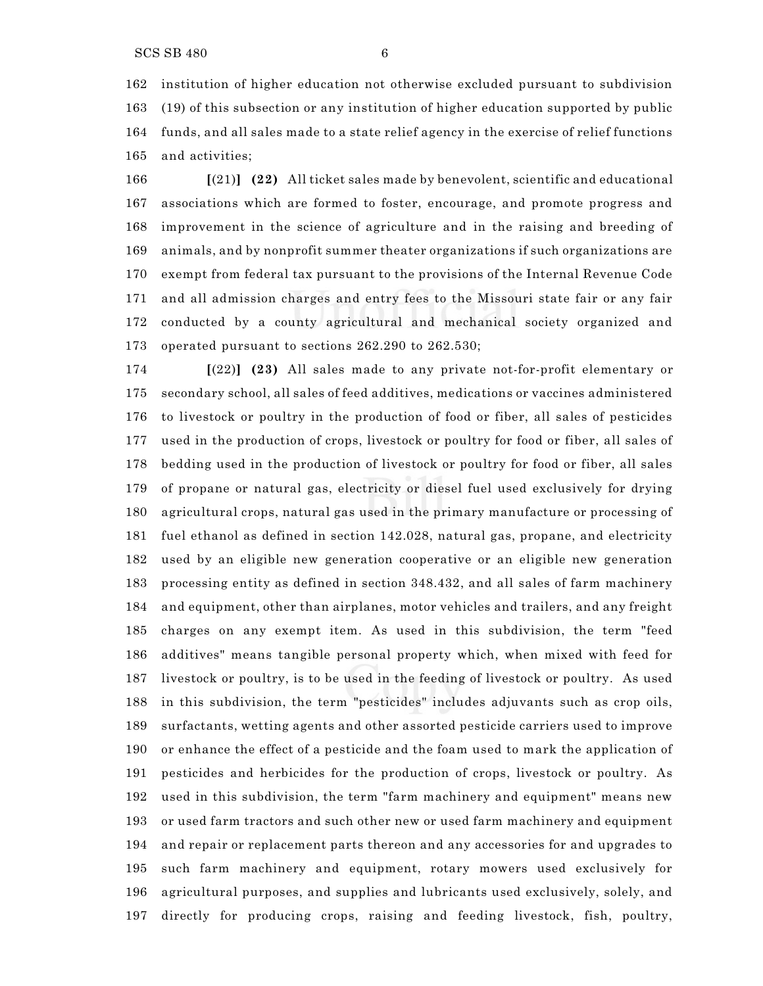institution of higher education not otherwise excluded pursuant to subdivision (19) of this subsection or any institution of higher education supported by public funds, and all sales made to a state relief agency in the exercise of relief functions and activities;

 **[**(21)**] (22)** All ticket sales made by benevolent, scientific and educational associations which are formed to foster, encourage, and promote progress and improvement in the science of agriculture and in the raising and breeding of animals, and by nonprofit summer theater organizations if such organizations are exempt from federal tax pursuant to the provisions of the Internal Revenue Code and all admission charges and entry fees to the Missouri state fair or any fair conducted by a county agricultural and mechanical society organized and operated pursuant to sections 262.290 to 262.530;

 **[**(22)**] (23)** All sales made to any private not-for-profit elementary or secondary school, all sales of feed additives, medications or vaccines administered to livestock or poultry in the production of food or fiber, all sales of pesticides used in the production of crops, livestock or poultry for food or fiber, all sales of bedding used in the production of livestock or poultry for food or fiber, all sales of propane or natural gas, electricity or diesel fuel used exclusively for drying agricultural crops, natural gas used in the primary manufacture or processing of fuel ethanol as defined in section 142.028, natural gas, propane, and electricity used by an eligible new generation cooperative or an eligible new generation processing entity as defined in section 348.432, and all sales of farm machinery and equipment, other than airplanes, motor vehicles and trailers, and any freight charges on any exempt item. As used in this subdivision, the term "feed additives" means tangible personal property which, when mixed with feed for livestock or poultry, is to be used in the feeding of livestock or poultry. As used in this subdivision, the term "pesticides" includes adjuvants such as crop oils, surfactants, wetting agents and other assorted pesticide carriers used to improve or enhance the effect of a pesticide and the foam used to mark the application of pesticides and herbicides for the production of crops, livestock or poultry. As used in this subdivision, the term "farm machinery and equipment" means new or used farm tractors and such other new or used farm machinery and equipment and repair or replacement parts thereon and any accessories for and upgrades to such farm machinery and equipment, rotary mowers used exclusively for agricultural purposes, and supplies and lubricants used exclusively, solely, and directly for producing crops, raising and feeding livestock, fish, poultry,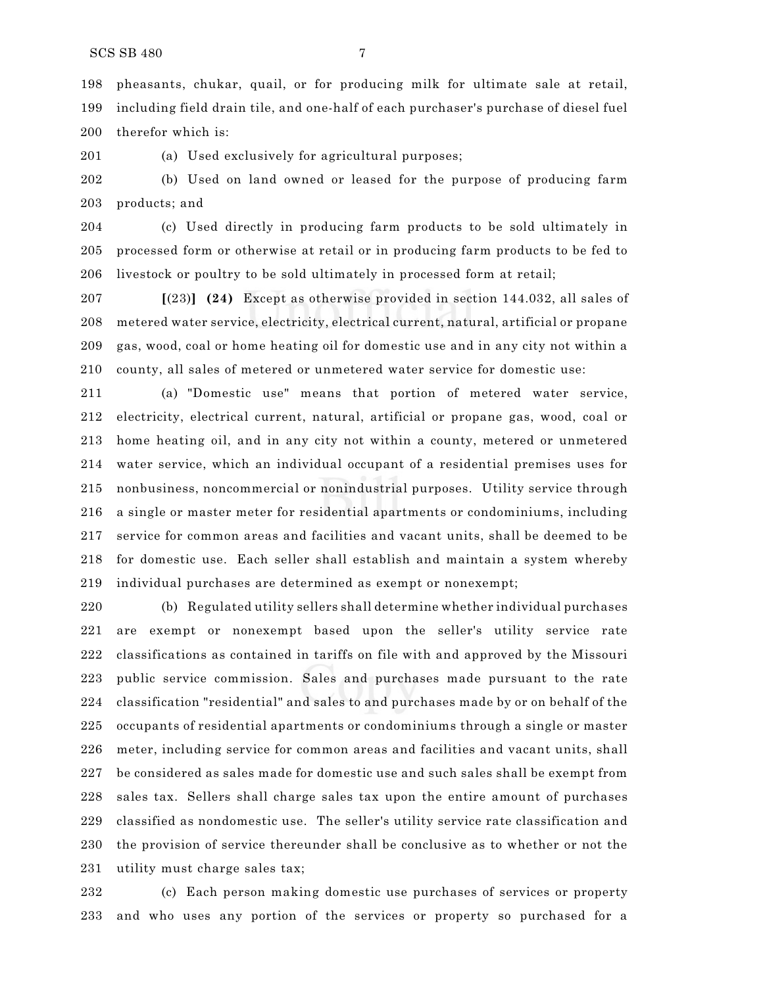pheasants, chukar, quail, or for producing milk for ultimate sale at retail, including field drain tile, and one-half of each purchaser's purchase of diesel fuel therefor which is:

(a) Used exclusively for agricultural purposes;

 (b) Used on land owned or leased for the purpose of producing farm products; and

 (c) Used directly in producing farm products to be sold ultimately in processed form or otherwise at retail or in producing farm products to be fed to livestock or poultry to be sold ultimately in processed form at retail;

 **[**(23)**] (24)** Except as otherwise provided in section 144.032, all sales of metered water service, electricity, electrical current, natural, artificial or propane gas, wood, coal or home heating oil for domestic use and in any city not within a county, all sales of metered or unmetered water service for domestic use:

 (a) "Domestic use" means that portion of metered water service, electricity, electrical current, natural, artificial or propane gas, wood, coal or home heating oil, and in any city not within a county, metered or unmetered water service, which an individual occupant of a residential premises uses for nonbusiness, noncommercial or nonindustrial purposes. Utility service through a single or master meter for residential apartments or condominiums, including service for common areas and facilities and vacant units, shall be deemed to be for domestic use. Each seller shall establish and maintain a system whereby individual purchases are determined as exempt or nonexempt;

 (b) Regulated utility sellers shall determine whether individual purchases are exempt or nonexempt based upon the seller's utility service rate classifications as contained in tariffs on file with and approved by the Missouri public service commission. Sales and purchases made pursuant to the rate classification "residential" and sales to and purchases made by or on behalf of the occupants of residential apartments or condominiums through a single or master meter, including service for common areas and facilities and vacant units, shall be considered as sales made for domestic use and such sales shall be exempt from sales tax. Sellers shall charge sales tax upon the entire amount of purchases classified as nondomestic use. The seller's utility service rate classification and the provision of service thereunder shall be conclusive as to whether or not the utility must charge sales tax;

 (c) Each person making domestic use purchases of services or property and who uses any portion of the services or property so purchased for a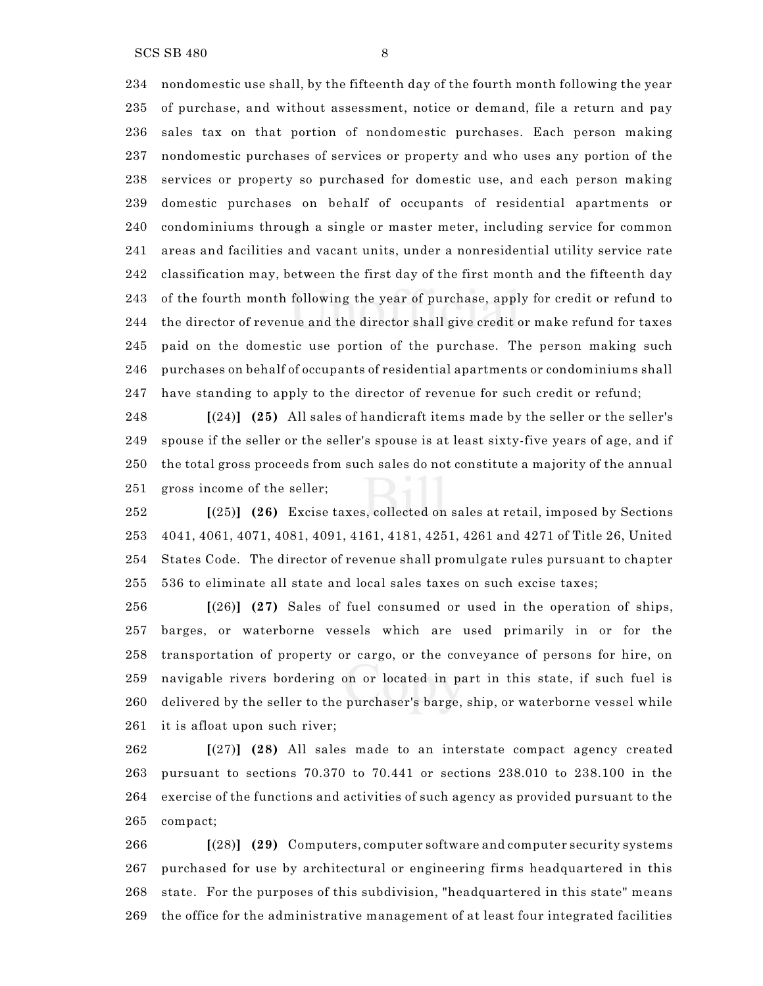SCS SB 480 8

 nondomestic use shall, by the fifteenth day of the fourth month following the year of purchase, and without assessment, notice or demand, file a return and pay sales tax on that portion of nondomestic purchases. Each person making nondomestic purchases of services or property and who uses any portion of the services or property so purchased for domestic use, and each person making domestic purchases on behalf of occupants of residential apartments or condominiums through a single or master meter, including service for common areas and facilities and vacant units, under a nonresidential utility service rate classification may, between the first day of the first month and the fifteenth day of the fourth month following the year of purchase, apply for credit or refund to the director of revenue and the director shall give credit or make refund for taxes paid on the domestic use portion of the purchase. The person making such purchases on behalf of occupants of residential apartments or condominiums shall have standing to apply to the director of revenue for such credit or refund;

 **[**(24)**] (25)** All sales of handicraft items made by the seller or the seller's spouse if the seller or the seller's spouse is at least sixty-five years of age, and if the total gross proceeds from such sales do not constitute a majority of the annual gross income of the seller;

 **[**(25)**] (26)** Excise taxes, collected on sales at retail, imposed by Sections 4041, 4061, 4071, 4081, 4091, 4161, 4181, 4251, 4261 and 4271 of Title 26, United States Code. The director of revenue shall promulgate rules pursuant to chapter 536 to eliminate all state and local sales taxes on such excise taxes;

 **[**(26)**] (27)** Sales of fuel consumed or used in the operation of ships, barges, or waterborne vessels which are used primarily in or for the transportation of property or cargo, or the conveyance of persons for hire, on navigable rivers bordering on or located in part in this state, if such fuel is delivered by the seller to the purchaser's barge, ship, or waterborne vessel while it is afloat upon such river;

 **[**(27)**] (28)** All sales made to an interstate compact agency created pursuant to sections 70.370 to 70.441 or sections 238.010 to 238.100 in the exercise of the functions and activities of such agency as provided pursuant to the compact;

 **[**(28)**] (29)** Computers, computer software and computer security systems purchased for use by architectural or engineering firms headquartered in this state. For the purposes of this subdivision, "headquartered in this state" means the office for the administrative management of at least four integrated facilities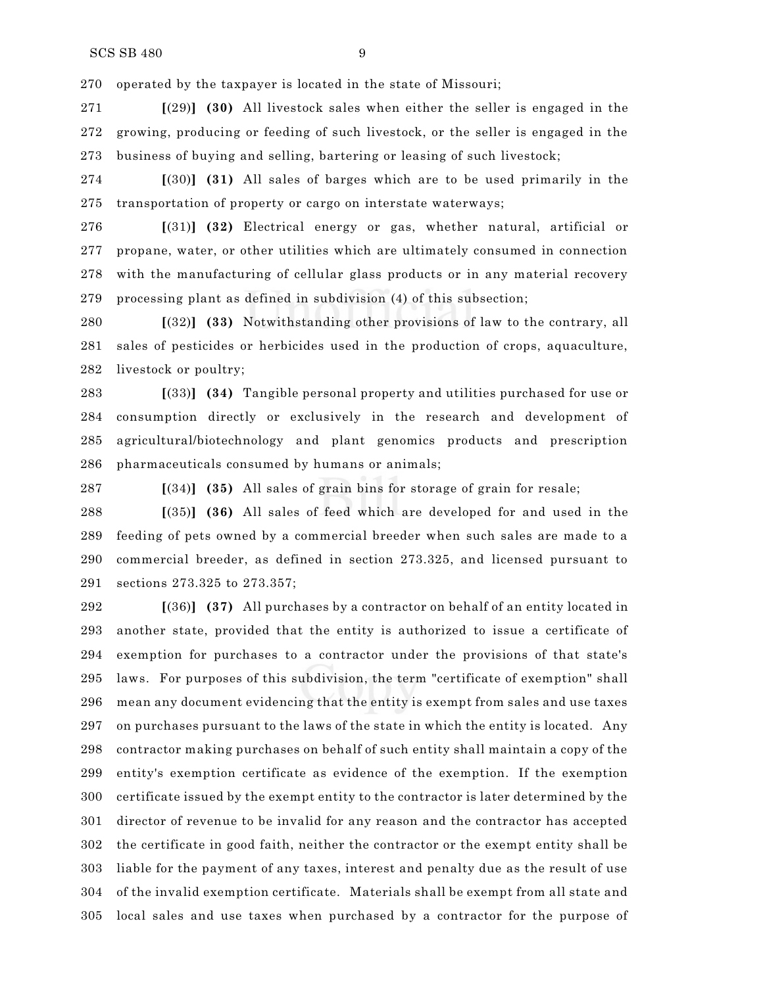operated by the taxpayer is located in the state of Missouri;

 **[**(29)**] (30)** All livestock sales when either the seller is engaged in the growing, producing or feeding of such livestock, or the seller is engaged in the business of buying and selling, bartering or leasing of such livestock;

 **[**(30)**] (31)** All sales of barges which are to be used primarily in the transportation of property or cargo on interstate waterways;

 **[**(31)**] (32)** Electrical energy or gas, whether natural, artificial or propane, water, or other utilities which are ultimately consumed in connection with the manufacturing of cellular glass products or in any material recovery processing plant as defined in subdivision (4) of this subsection;

 **[**(32)**] (33)** Notwithstanding other provisions of law to the contrary, all sales of pesticides or herbicides used in the production of crops, aquaculture, livestock or poultry;

 **[**(33)**] (34)** Tangible personal property and utilities purchased for use or consumption directly or exclusively in the research and development of agricultural/biotechnology and plant genomics products and prescription pharmaceuticals consumed by humans or animals;

**[**(34)**] (35)** All sales of grain bins for storage of grain for resale;

 **[**(35)**] (36)** All sales of feed which are developed for and used in the feeding of pets owned by a commercial breeder when such sales are made to a commercial breeder, as defined in section 273.325, and licensed pursuant to sections 273.325 to 273.357;

 **[**(36)**] (37)** All purchases by a contractor on behalf of an entity located in another state, provided that the entity is authorized to issue a certificate of exemption for purchases to a contractor under the provisions of that state's laws. For purposes of this subdivision, the term "certificate of exemption" shall mean any document evidencing that the entity is exempt from sales and use taxes on purchases pursuant to the laws of the state in which the entity is located. Any contractor making purchases on behalf of such entity shall maintain a copy of the entity's exemption certificate as evidence of the exemption. If the exemption certificate issued by the exempt entity to the contractor is later determined by the director of revenue to be invalid for any reason and the contractor has accepted the certificate in good faith, neither the contractor or the exempt entity shall be liable for the payment of any taxes, interest and penalty due as the result of use of the invalid exemption certificate. Materials shall be exempt from all state and local sales and use taxes when purchased by a contractor for the purpose of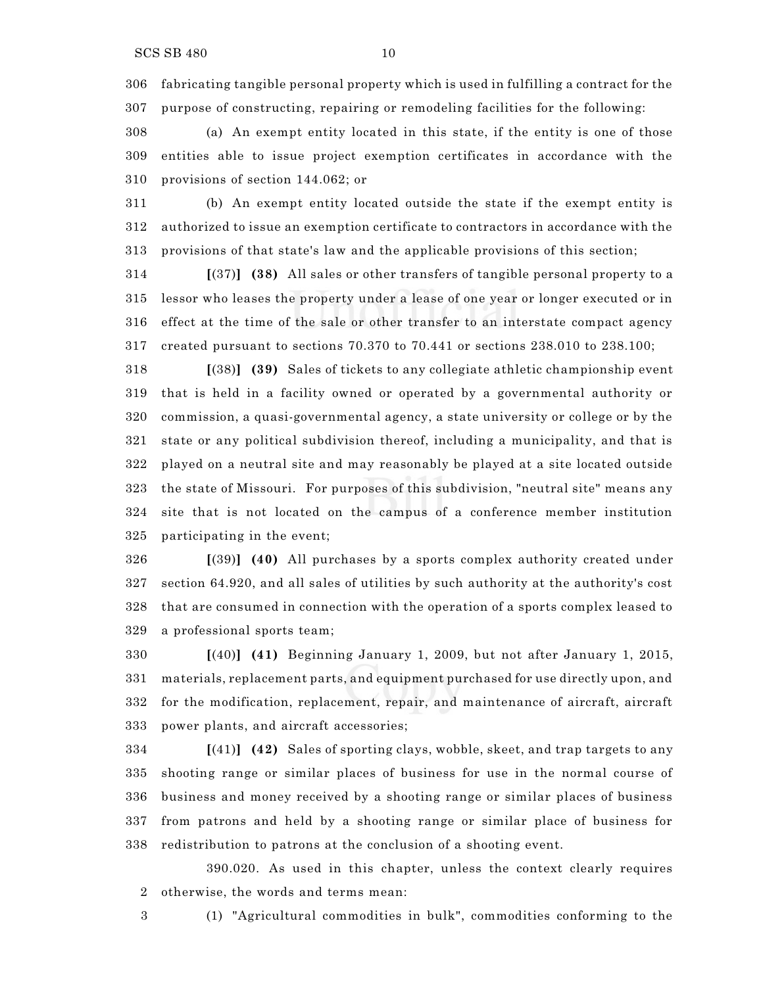fabricating tangible personal property which is used in fulfilling a contract for the purpose of constructing, repairing or remodeling facilities for the following:

 (a) An exempt entity located in this state, if the entity is one of those entities able to issue project exemption certificates in accordance with the provisions of section 144.062; or

 (b) An exempt entity located outside the state if the exempt entity is authorized to issue an exemption certificate to contractors in accordance with the provisions of that state's law and the applicable provisions of this section;

 **[**(37)**] (38)** All sales or other transfers of tangible personal property to a lessor who leases the property under a lease of one year or longer executed or in effect at the time of the sale or other transfer to an interstate compact agency created pursuant to sections 70.370 to 70.441 or sections 238.010 to 238.100;

 **[**(38)**] (39)** Sales of tickets to any collegiate athletic championship event that is held in a facility owned or operated by a governmental authority or commission, a quasi-governmental agency, a state university or college or by the state or any political subdivision thereof, including a municipality, and that is played on a neutral site and may reasonably be played at a site located outside the state of Missouri. For purposes of this subdivision, "neutral site" means any site that is not located on the campus of a conference member institution participating in the event;

 **[**(39)**] (40)** All purchases by a sports complex authority created under section 64.920, and all sales of utilities by such authority at the authority's cost that are consumed in connection with the operation of a sports complex leased to a professional sports team;

 **[**(40)**] (41)** Beginning January 1, 2009, but not after January 1, 2015, materials, replacement parts, and equipment purchased for use directly upon, and for the modification, replacement, repair, and maintenance of aircraft, aircraft power plants, and aircraft accessories;

 **[**(41)**] (42)** Sales of sporting clays, wobble, skeet, and trap targets to any shooting range or similar places of business for use in the normal course of business and money received by a shooting range or similar places of business from patrons and held by a shooting range or similar place of business for redistribution to patrons at the conclusion of a shooting event.

390.020. As used in this chapter, unless the context clearly requires otherwise, the words and terms mean:

(1) "Agricultural commodities in bulk", commodities conforming to the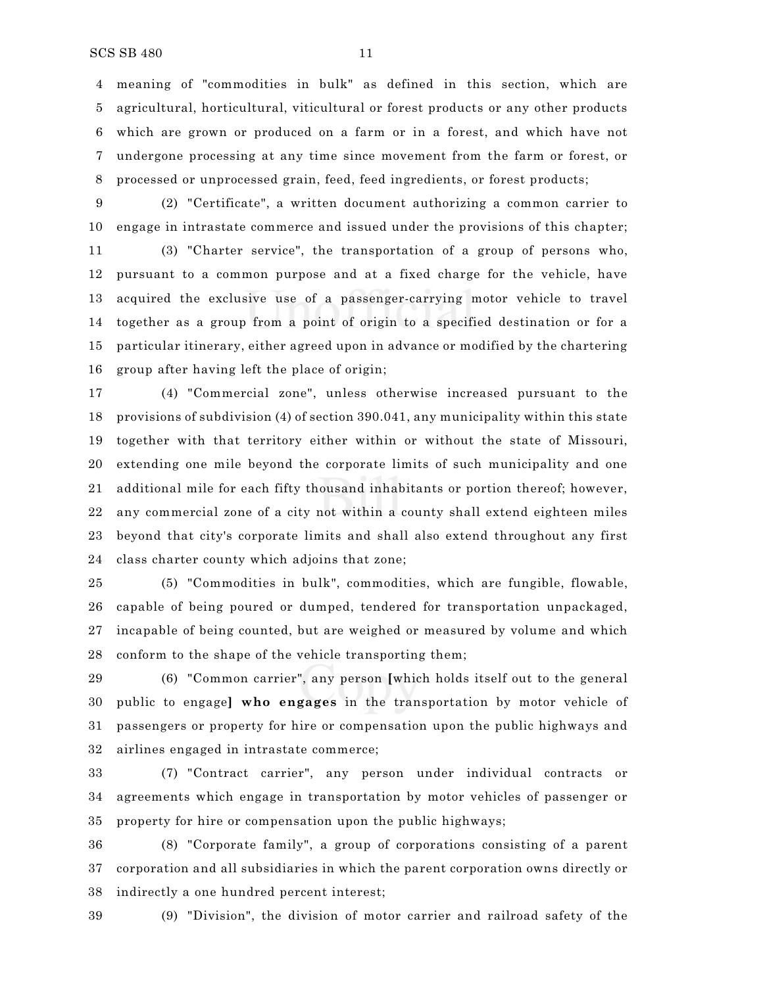meaning of "commodities in bulk" as defined in this section, which are agricultural, horticultural, viticultural or forest products or any other products which are grown or produced on a farm or in a forest, and which have not undergone processing at any time since movement from the farm or forest, or processed or unprocessed grain, feed, feed ingredients, or forest products;

 (2) "Certificate", a written document authorizing a common carrier to engage in intrastate commerce and issued under the provisions of this chapter;

 (3) "Charter service", the transportation of a group of persons who, pursuant to a common purpose and at a fixed charge for the vehicle, have acquired the exclusive use of a passenger-carrying motor vehicle to travel together as a group from a point of origin to a specified destination or for a particular itinerary, either agreed upon in advance or modified by the chartering group after having left the place of origin;

 (4) "Commercial zone", unless otherwise increased pursuant to the provisions of subdivision (4) of section 390.041, any municipality within this state together with that territory either within or without the state of Missouri, extending one mile beyond the corporate limits of such municipality and one additional mile for each fifty thousand inhabitants or portion thereof; however, any commercial zone of a city not within a county shall extend eighteen miles beyond that city's corporate limits and shall also extend throughout any first class charter county which adjoins that zone;

 (5) "Commodities in bulk", commodities, which are fungible, flowable, capable of being poured or dumped, tendered for transportation unpackaged, incapable of being counted, but are weighed or measured by volume and which conform to the shape of the vehicle transporting them;

 (6) "Common carrier", any person **[**which holds itself out to the general public to engage**] who engages** in the transportation by motor vehicle of passengers or property for hire or compensation upon the public highways and airlines engaged in intrastate commerce;

 (7) "Contract carrier", any person under individual contracts or agreements which engage in transportation by motor vehicles of passenger or property for hire or compensation upon the public highways;

 (8) "Corporate family", a group of corporations consisting of a parent corporation and all subsidiaries in which the parent corporation owns directly or indirectly a one hundred percent interest;

(9) "Division", the division of motor carrier and railroad safety of the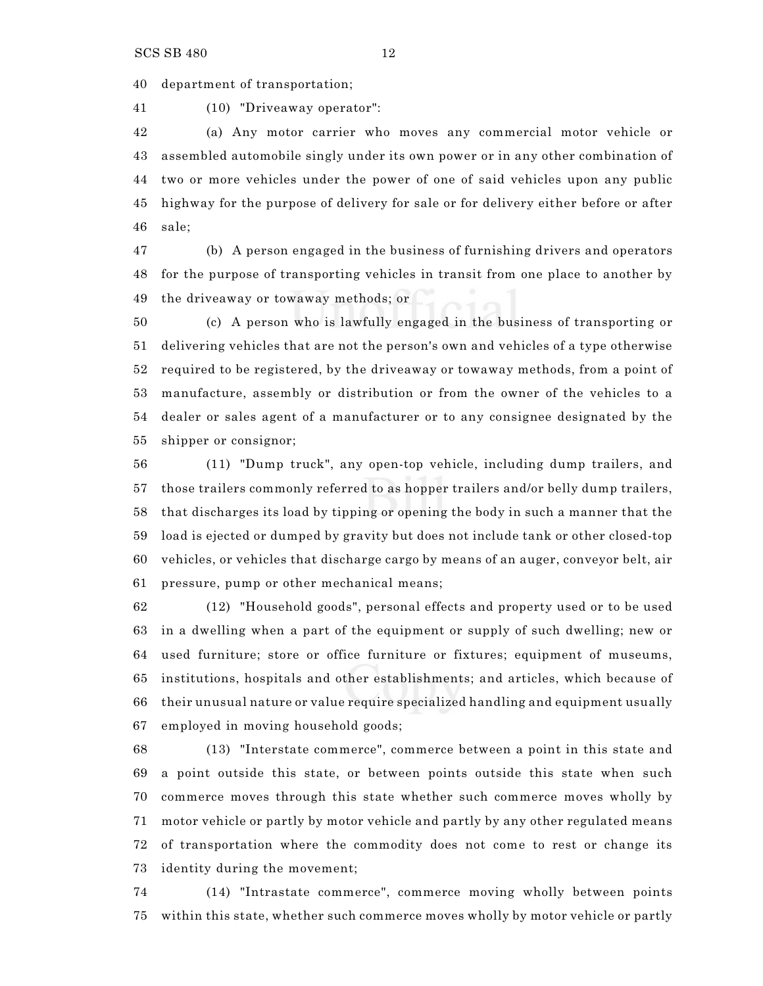department of transportation;

(10) "Driveaway operator":

 (a) Any motor carrier who moves any commercial motor vehicle or assembled automobile singly under its own power or in any other combination of two or more vehicles under the power of one of said vehicles upon any public highway for the purpose of delivery for sale or for delivery either before or after sale;

 (b) A person engaged in the business of furnishing drivers and operators for the purpose of transporting vehicles in transit from one place to another by the driveaway or towaway methods; or

 (c) A person who is lawfully engaged in the business of transporting or delivering vehicles that are not the person's own and vehicles of a type otherwise required to be registered, by the driveaway or towaway methods, from a point of manufacture, assembly or distribution or from the owner of the vehicles to a dealer or sales agent of a manufacturer or to any consignee designated by the shipper or consignor;

 (11) "Dump truck", any open-top vehicle, including dump trailers, and those trailers commonly referred to as hopper trailers and/or belly dump trailers, that discharges its load by tipping or opening the body in such a manner that the load is ejected or dumped by gravity but does not include tank or other closed-top vehicles, or vehicles that discharge cargo by means of an auger, conveyor belt, air pressure, pump or other mechanical means;

 (12) "Household goods", personal effects and property used or to be used in a dwelling when a part of the equipment or supply of such dwelling; new or used furniture; store or office furniture or fixtures; equipment of museums, institutions, hospitals and other establishments; and articles, which because of their unusual nature or value require specialized handling and equipment usually employed in moving household goods;

 (13) "Interstate commerce", commerce between a point in this state and a point outside this state, or between points outside this state when such commerce moves through this state whether such commerce moves wholly by motor vehicle or partly by motor vehicle and partly by any other regulated means of transportation where the commodity does not come to rest or change its identity during the movement;

 (14) "Intrastate commerce", commerce moving wholly between points within this state, whether such commerce moves wholly by motor vehicle or partly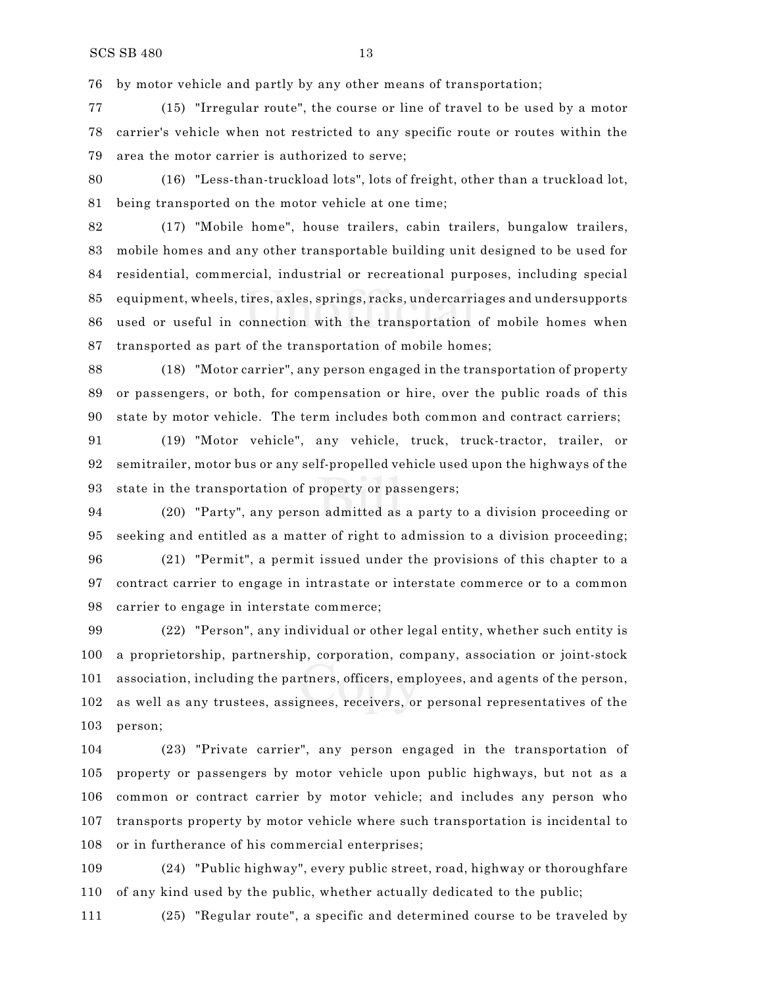by motor vehicle and partly by any other means of transportation;

 (15) "Irregular route", the course or line of travel to be used by a motor carrier's vehicle when not restricted to any specific route or routes within the area the motor carrier is authorized to serve;

 (16) "Less-than-truckload lots", lots of freight, other than a truckload lot, being transported on the motor vehicle at one time;

 (17) "Mobile home", house trailers, cabin trailers, bungalow trailers, mobile homes and any other transportable building unit designed to be used for residential, commercial, industrial or recreational purposes, including special equipment, wheels, tires, axles, springs, racks, undercarriages and undersupports used or useful in connection with the transportation of mobile homes when transported as part of the transportation of mobile homes;

 (18) "Motor carrier", any person engaged in the transportation of property or passengers, or both, for compensation or hire, over the public roads of this state by motor vehicle. The term includes both common and contract carriers;

 (19) "Motor vehicle", any vehicle, truck, truck-tractor, trailer, or semitrailer, motor bus or any self-propelled vehicle used upon the highways of the state in the transportation of property or passengers;

 (20) "Party", any person admitted as a party to a division proceeding or seeking and entitled as a matter of right to admission to a division proceeding;

 (21) "Permit", a permit issued under the provisions of this chapter to a contract carrier to engage in intrastate or interstate commerce or to a common carrier to engage in interstate commerce;

 (22) "Person", any individual or other legal entity, whether such entity is a proprietorship, partnership, corporation, company, association or joint-stock association, including the partners, officers, employees, and agents of the person, as well as any trustees, assignees, receivers, or personal representatives of the person;

 (23) "Private carrier", any person engaged in the transportation of property or passengers by motor vehicle upon public highways, but not as a common or contract carrier by motor vehicle; and includes any person who transports property by motor vehicle where such transportation is incidental to or in furtherance of his commercial enterprises;

 (24) "Public highway", every public street, road, highway or thoroughfare of any kind used by the public, whether actually dedicated to the public;

(25) "Regular route", a specific and determined course to be traveled by